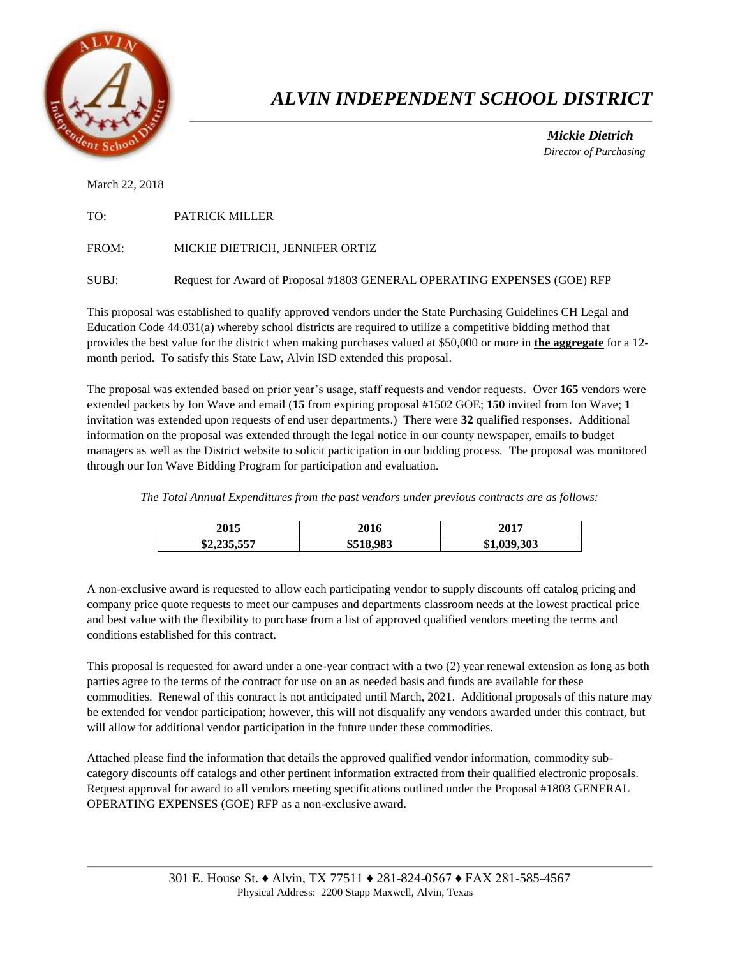

## *ALVIN INDEPENDENT SCHOOL DISTRICT*

 *Mickie Dietrich Director of Purchasing*

March 22, 2018

| TO: | <b>PATRICK MILLER</b> |
|-----|-----------------------|
|     |                       |

FROM: MICKIE DIETRICH, JENNIFER ORTIZ

SUBJ: Request for Award of Proposal #1803 GENERAL OPERATING EXPENSES (GOE) RFP

This proposal was established to qualify approved vendors under the State Purchasing Guidelines CH Legal and Education Code 44.031(a) whereby school districts are required to utilize a competitive bidding method that provides the best value for the district when making purchases valued at \$50,000 or more in **the aggregate** for a 12 month period. To satisfy this State Law, Alvin ISD extended this proposal.

The proposal was extended based on prior year's usage, staff requests and vendor requests. Over **165** vendors were extended packets by Ion Wave and email (**15** from expiring proposal #1502 GOE; **150** invited from Ion Wave; **1** invitation was extended upon requests of end user departments.) There were **32** qualified responses. Additional information on the proposal was extended through the legal notice in our county newspaper, emails to budget managers as well as the District website to solicit participation in our bidding process. The proposal was monitored through our Ion Wave Bidding Program for participation and evaluation.

*The Total Annual Expenditures from the past vendors under previous contracts are as follows:* 

| 2015                         | 2016              | 2017                     |
|------------------------------|-------------------|--------------------------|
| 225.557<br>ድኅ<br>\$4,433,337 | \$518,983<br>9910 | .039.303<br>ጡ<br>\$1,055 |

A non-exclusive award is requested to allow each participating vendor to supply discounts off catalog pricing and company price quote requests to meet our campuses and departments classroom needs at the lowest practical price and best value with the flexibility to purchase from a list of approved qualified vendors meeting the terms and conditions established for this contract.

This proposal is requested for award under a one-year contract with a two (2) year renewal extension as long as both parties agree to the terms of the contract for use on an as needed basis and funds are available for these commodities. Renewal of this contract is not anticipated until March, 2021. Additional proposals of this nature may be extended for vendor participation; however, this will not disqualify any vendors awarded under this contract, but will allow for additional vendor participation in the future under these commodities.

Attached please find the information that details the approved qualified vendor information, commodity subcategory discounts off catalogs and other pertinent information extracted from their qualified electronic proposals. Request approval for award to all vendors meeting specifications outlined under the Proposal #1803 GENERAL OPERATING EXPENSES (GOE) RFP as a non-exclusive award.